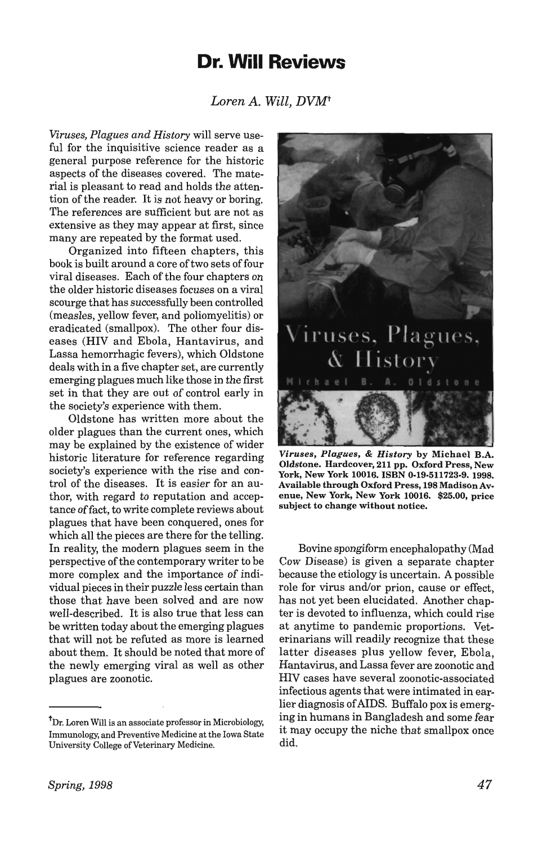## **Dr. Will Reviews**

*Loren A. Will, DVMt* 

*Viruses, Plagues and History* will serve useful for the inquisitive science reader as a general purpose reference for the historic aspects of the diseases covered. The material is pleasant to read and holds the attention of the reader. It is not heavy or boring. The references are sufficient but are not as extensive as they may appear at first, since many are repeated by the format used.

Organized into fifteen chapters, this book is built around a core of two sets of four viral diseases. Each of the four chapters on the older historic diseases focuses on a viral scourge that has successfully been controlled (measles, yellow fever, and poliomyelitis) or eradicated (smallpox). The other four diseases (HIV and Ebola, Hantavirus, and Lassa hemorrhagic fevers), which Oldstone deals with in a five chapter set, are currently emerging plagues much like those in the first set in that they are out of control early in the society's experience with them.

Oldstone has written more about the older plagues than the current ones, which may be explained by the existence of wider historic literature for reference regarding society's experience with the rise and control of the diseases. It is easier for an author, with regard to reputation and acceptance offact, to write complete reviews about plagues that have been conquered, ones for which all the pieces are there for the telling. In reality, the modern plagues seem in the perspective of the contemporary writer to be more complex and the importance of individual pieces in their puzzle less certain than those that have been solved and are now well-described. It is also true that less can be written today about the emerging plagues that will not be refuted as more is learned about them. It should be noted that more of the newly emerging viral as well as other plagues are zoonotic.



*Viruses, Plagues,* & *History* by Michael B.A. Oldstone. Hardcover, 211 pp. Oxford Press, New York, New York 10016. ISBN 0-19·511723-9. 1998. Available through Oxford Press, 198 MadisonAvenue, New York, New York 10016. \$25.00, price subject to change without notice.

Bovine spongiform encephalopathy (Mad Cow Disease) is given a separate chapter because the etiology is uncertain. A possible role for virus and/or prion, cause or effect, has not yet been elucidated. Another chapter is devoted to influenza, which could rise at anytime to pandemic proportions. Veterinarians will readily recognize that these latter diseases plus yellow fever, Ebola, Hantavirus, and Lassa fever are zoonotic and HIV cases have several zoonotic-associated infectious agents that were intimated in earlier diagnosis of AIDS. Buffalo pox is emerging in humans in Bangladesh and some fear it may occupy the niche that smallpox once did.

<sup>&</sup>lt;sup>t</sup>Dr. Loren Will is an associate professor in Microbiology, Immunology, and Preventive Medicine at the Iowa State University College of Veterinary Medicine.